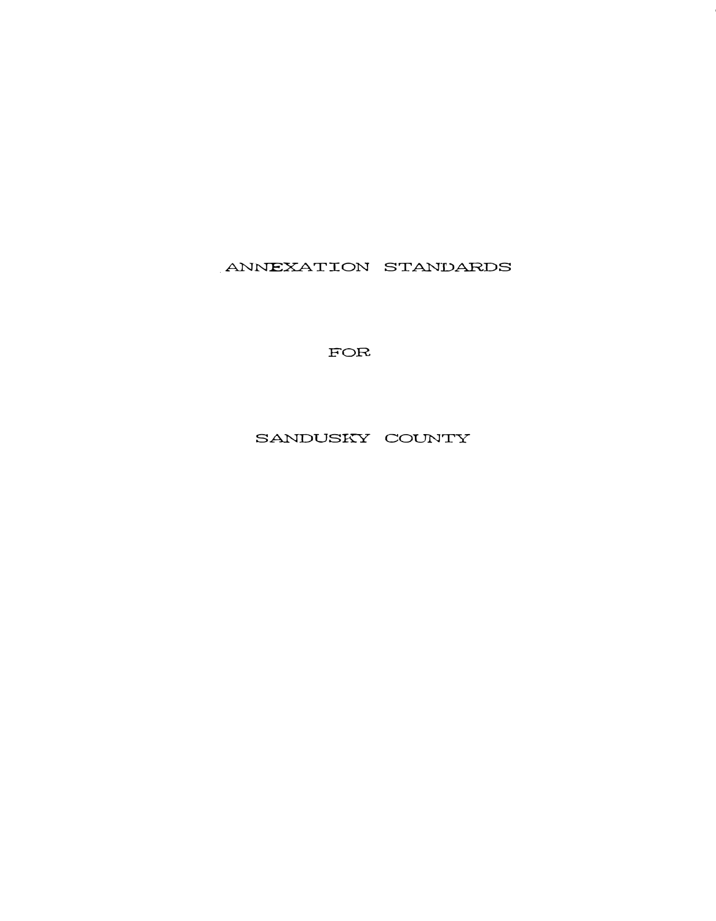ANNEXATION STANDARDS

FOR

SANDUSKY COUNTY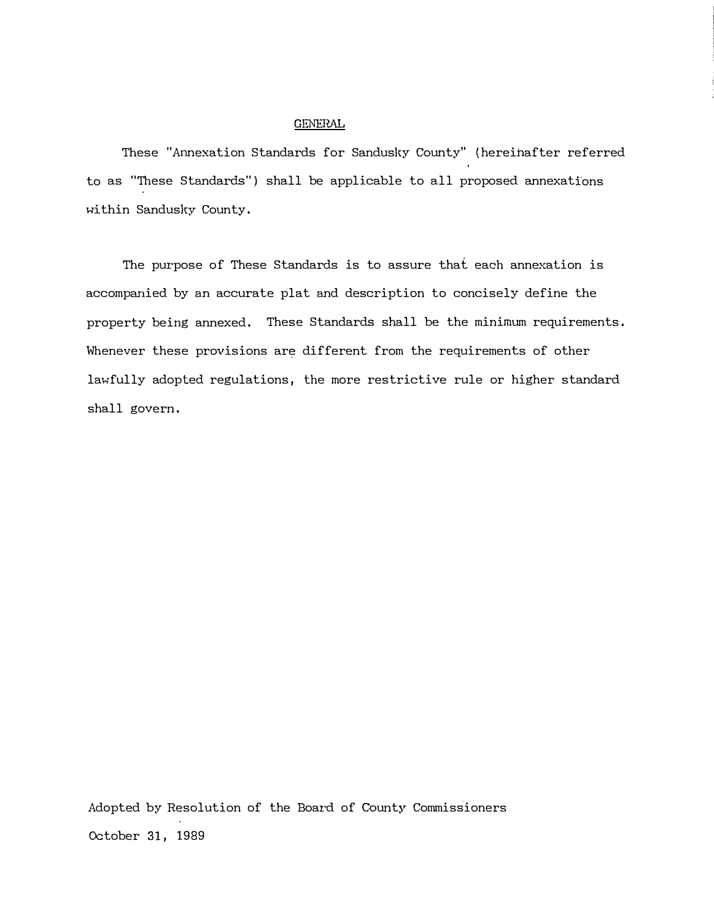## GENERAL

These "Annexation Standards for Sandusky County" (hereinafter referred to as "These Standards") shall be applicable to all proposed annexations within Sandusky County.

The purpose of These Standards is to assure that each annexation is accompanied by an accurate plat and description to concisely define the property being annexed. These Standards shall be the minimum requirements. Whenever these provisions are different from the requirements of other lawfully adopted regulations, the more restrictive rule or higher standard shall govern.

Adopted by Resolution of the Board of County Commissioners October 31, 1989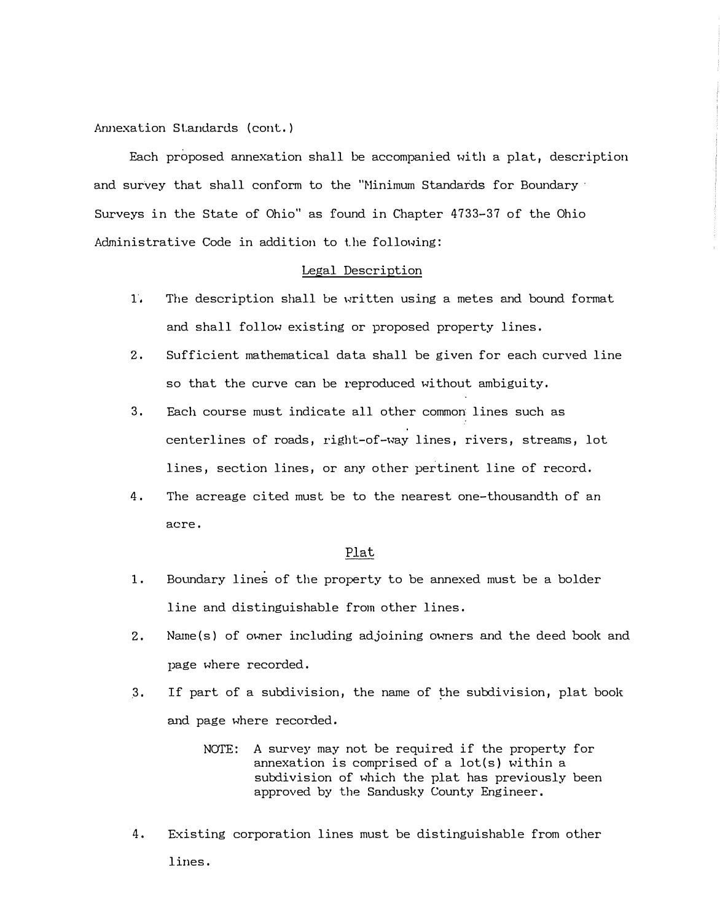Annexation Standards (cont.)

Each proposed annexation shall be accompanied with a plat, description and survey that shall conform to the "Minimum Standards for Boundary · Surveys in the State of Ohio" as found in Chapter 4733-37 of the Ohio Administrative Code in addition to the following:

## Legal Description

- 1. The description shall be written using a metes and bound format and shall follow existing or proposed property lines.
- 2. Sufficient mathematical data shall be given for each curved line so that the curve can be reproduced without ambiguity.
- 3. Each course must indicate all other common lines such as centerlines of roads, right-of-way lines, rivers, streams, lot lines, section lines, or any other pertinent line of record.
- 4. The acreage cited must be to the nearest one-thousandth of an acre.

## Plat

- 1. Boundary lines of the property to be annexed must be a bolder line and distinguishable from other lines.
- 2. Name(s) of owner including adjoining owners and the deed book and page where recorded .
- . 3. If part of a subdivision, the name of the subdivision, plat book and page where recorded.
	- NOTE: A survey may not be required if the property for annexation is comprised of a lot(s) within a subdivision of which the plat has previously been approved by the Sandusky County Engineer.
- 4. Existing corporation lines must be distinguishable from other lines.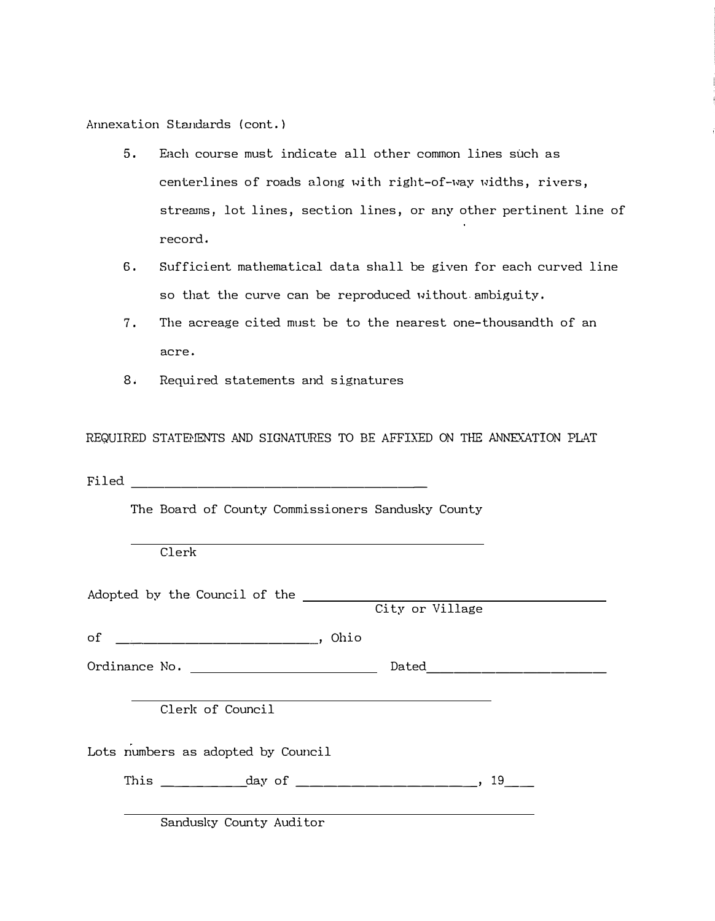Annexation Standards (cont.)

- 5. Each course must indicate all other common lines such as centerlines of roads along with right-of-way widths, rivers, streams, lot lines, section lines, or any other pertinent line of record.
- 6. Sufficient mathematical data shall be given for each curved line so that the curve can be reproduced without.ambiguity.
- 7. The acreage cited must be to the nearest one-thousandth of an acre.
- 8. Required statements and signatures

REQUIRED STATEMENTS AND SIGNATURES TO BE AFFIXED ON THE ANNEXATION PLAT

Filed  $\Box$ 

The Board of County Commissioners Sandusky County

Clerk

| Adopted by the Council of the      |                 |  |
|------------------------------------|-----------------|--|
|                                    | City or Village |  |
|                                    |                 |  |
|                                    | Dated _________ |  |
| Clerk of Council                   |                 |  |
| Lots numbers as adopted by Council |                 |  |
|                                    |                 |  |
| Sandusky County Auditor            |                 |  |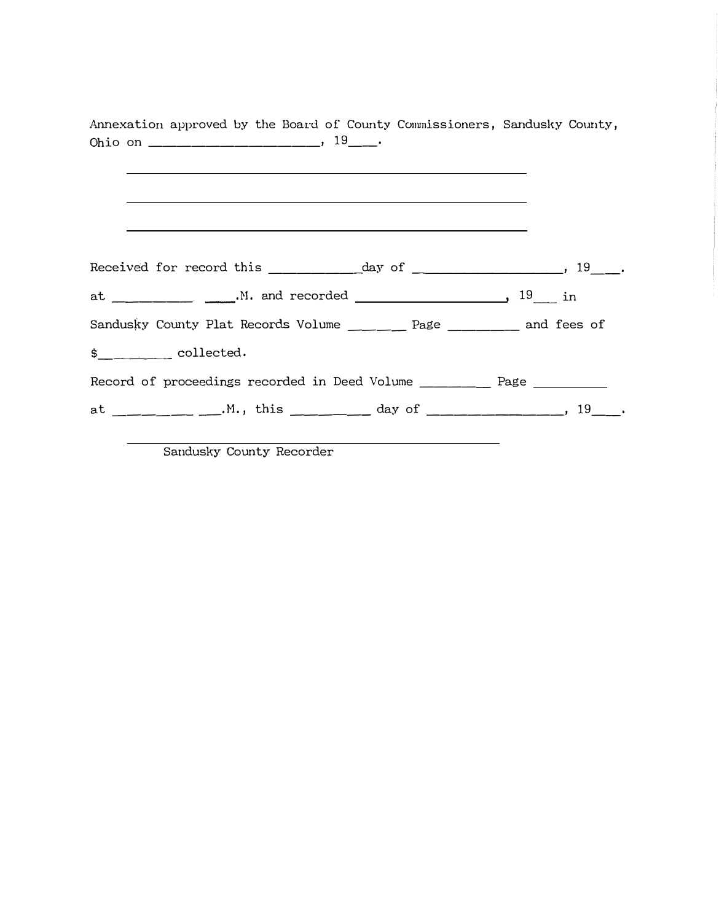| Annexation approved by the Board of County Commissioners, Sandusky County, | <u> 1989 - Johann Stoff, deutscher Stoff, der Stoff, der Stoff, der Stoff, der Stoff, der Stoff, der Stoff, der S</u> |  |
|----------------------------------------------------------------------------|-----------------------------------------------------------------------------------------------------------------------|--|
|                                                                            |                                                                                                                       |  |
|                                                                            |                                                                                                                       |  |
| Sandusky County Plat Records Volume _____ Page _____ and fees of           |                                                                                                                       |  |
| \$ collected.                                                              |                                                                                                                       |  |
| Record of proceedings recorded in Deed Volume ____________ Page            |                                                                                                                       |  |
| at ___________.M., this __________ day of _____________, 19___.            |                                                                                                                       |  |

Sandusky County Recorder